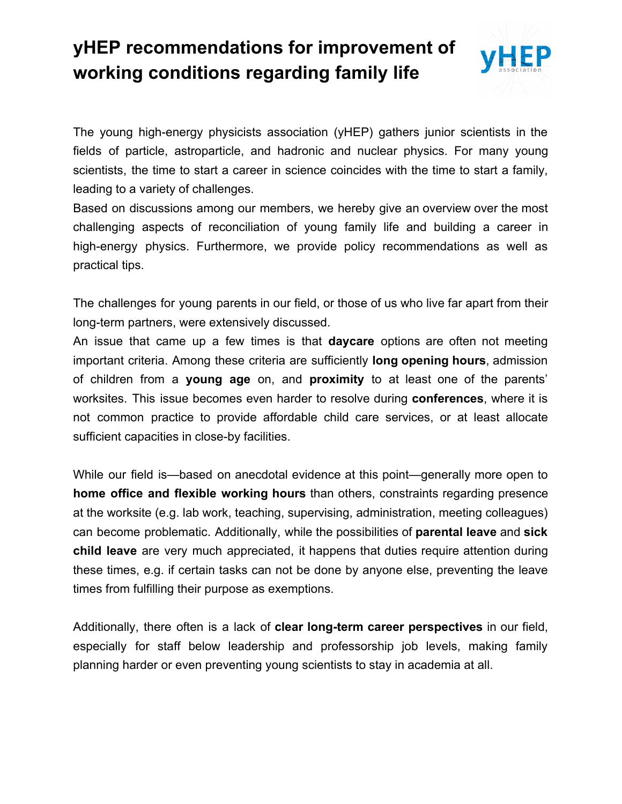## **yHEP recommendations for improvement of working conditions regarding family life**



The young high-energy physicists association (yHEP) gathers junior scientists in the fields of particle, astroparticle, and hadronic and nuclear physics. For many young scientists, the time to start a career in science coincides with the time to start a family, leading to a variety of challenges.

Based on discussions among our members, we hereby give an overview over the most challenging aspects of reconciliation of young family life and building a career in high-energy physics. Furthermore, we provide policy recommendations as well as practical tips.

The challenges for young parents in our field, or those of us who live far apart from their long-term partners, were extensively discussed.

An issue that came up a few times is that **daycare** options are often not meeting important criteria. Among these criteria are sufficiently **long opening hours**, admission of children from a **young age** on, and **proximity** to at least one of the parents' worksites. This issue becomes even harder to resolve during **conferences**, where it is not common practice to provide affordable child care services, or at least allocate sufficient capacities in close-by facilities.

While our field is—based on anecdotal evidence at this point—generally more open to **home office and flexible working hours** than others, constraints regarding presence at the worksite (e.g. lab work, teaching, supervising, administration, meeting colleagues) can become problematic. Additionally, while the possibilities of **parental leave** and **sick child leave** are very much appreciated, it happens that duties require attention during these times, e.g. if certain tasks can not be done by anyone else, preventing the leave times from fulfilling their purpose as exemptions.

Additionally, there often is a lack of **clear long-term career perspectives** in our field, especially for staff below leadership and professorship job levels, making family planning harder or even preventing young scientists to stay in academia at all.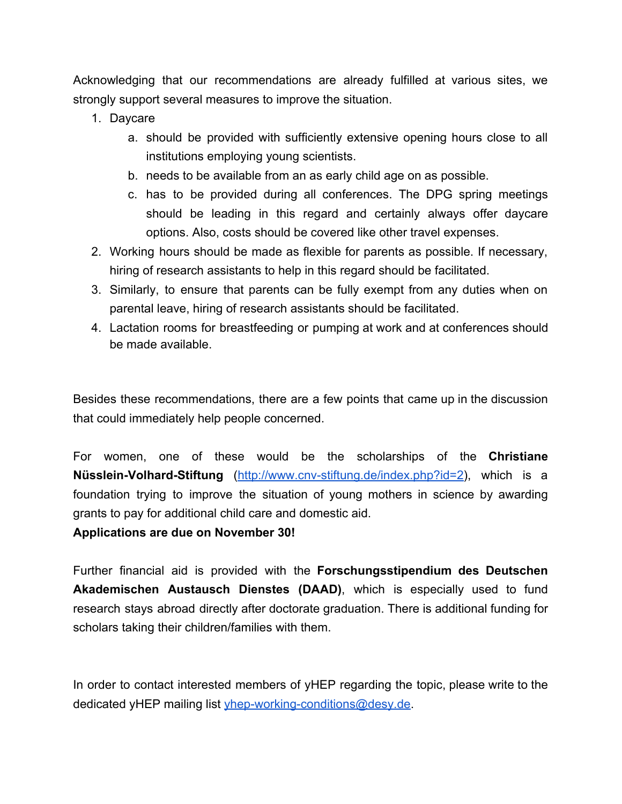Acknowledging that our recommendations are already fulfilled at various sites, we strongly support several measures to improve the situation.

- 1. Daycare
	- a. should be provided with sufficiently extensive opening hours close to all institutions employing young scientists.
	- b. needs to be available from an as early child age on as possible.
	- c. has to be provided during all conferences. The DPG spring meetings should be leading in this regard and certainly always offer daycare options. Also, costs should be covered like other travel expenses.
- 2. Working hours should be made as flexible for parents as possible. If necessary, hiring of research assistants to help in this regard should be facilitated.
- 3. Similarly, to ensure that parents can be fully exempt from any duties when on parental leave, hiring of research assistants should be facilitated.
- 4. Lactation rooms for breastfeeding or pumping at work and at conferences should be made available.

Besides these recommendations, there are a few points that came up in the discussion that could immediately help people concerned.

For women, one of these would be the scholarships of the **Christiane Nüsslein-Volhard-Stiftung** [\(http://www.cnv-stiftung.de/index.php?id=2\)](http://www.cnv-stiftung.de/index.php?id=2), which is a foundation trying to improve the situation of young mothers in science by awarding grants to pay for additional child care and domestic aid.

**Applications are due on November 30!**

Further financial aid is provided with the **Forschungsstipendium des Deutschen Akademischen Austausch Dienstes (DAAD)**, which is especially used to fund research stays abroad directly after doctorate graduation. There is additional funding for scholars taking their children/families with them.

In order to contact interested members of yHEP regarding the topic, please write to the dedicated yHEP mailing list [yhep-working-conditions@desy.de](mailto:yhep-working-conditions@desy.de).